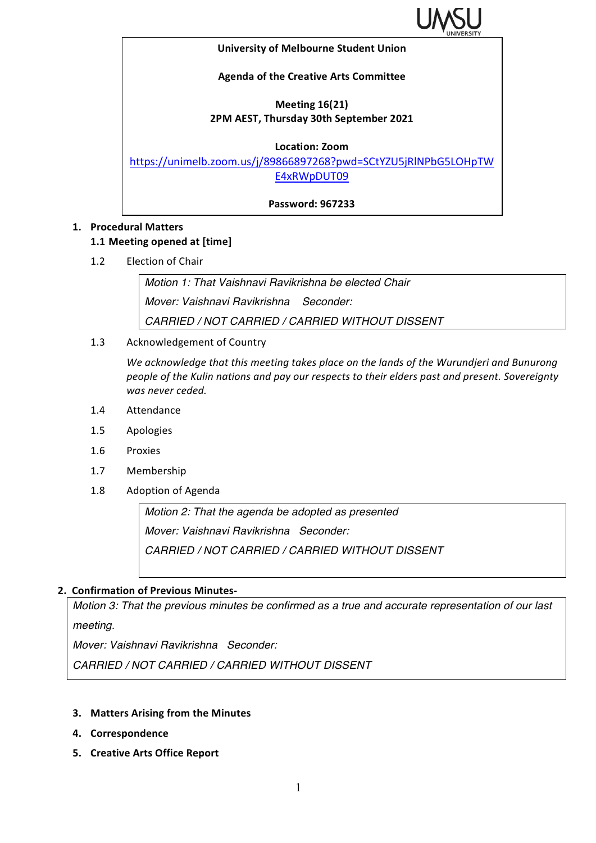

#### **University of Melbourne Student Union**

### **Agenda of the Creative Arts Committee**

## **Meeting 16(21) 2PM AEST, Thursday 30th September 2021**

**Location: Zoom**

https://unimelb.zoom.us/j/89866897268?pwd=SCtYZU5jRlNPbG5LOHpTW E4xRWpDUT09

**Password: 967233**

## **1. Procedural Matters**

### **1.1 Meeting opened at [time]**

1.2 Election of Chair

*Motion 1: That Vaishnavi Ravikrishna be elected Chair Mover: Vaishnavi Ravikrishna Seconder: CARRIED / NOT CARRIED / CARRIED WITHOUT DISSENT*

1.3 Acknowledgement of Country

We acknowledge that this meeting takes place on the lands of the Wurundjeri and Bunurong people of the Kulin nations and pay our respects to their elders past and present. Sovereignty was never ceded.

- 1.4 Attendance
- 1.5 Apologies
- 1.6 Proxies
- 1.7 Membership
- 1.8 Adoption of Agenda

*Motion 2: That the agenda be adopted as presented Mover: Vaishnavi Ravikrishna Seconder: CARRIED / NOT CARRIED / CARRIED WITHOUT DISSENT*

### **2. Confirmation of Previous Minutes-**

*Motion 3: That the previous minutes be confirmed as a true and accurate representation of our last meeting.*

*Mover: Vaishnavi Ravikrishna Seconder:* 

*CARRIED / NOT CARRIED / CARRIED WITHOUT DISSENT*

- **3.** Matters Arising from the Minutes
- **4. Correspondence**
- **5. Creative Arts Office Report**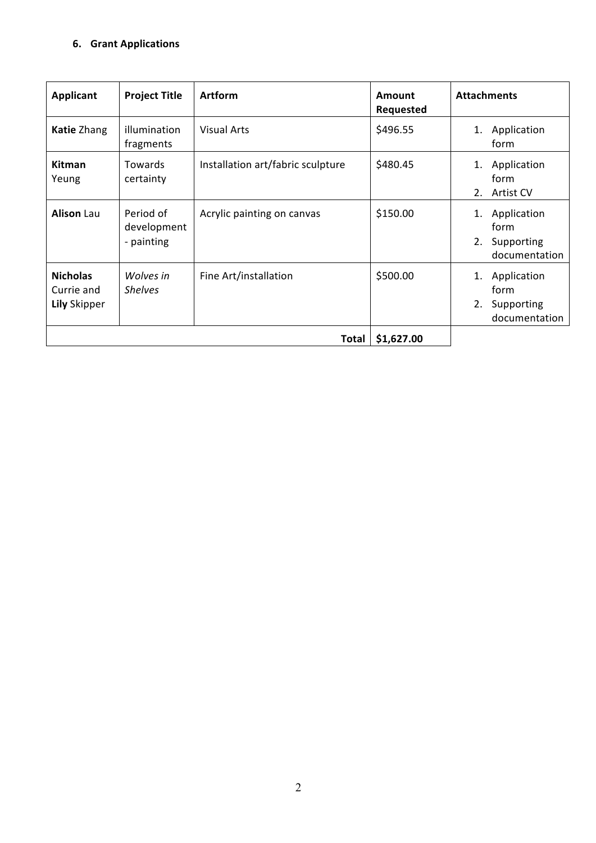# **6. Grant Applications**

| <b>Applicant</b>                                     | <b>Project Title</b>                   | <b>Artform</b>                    | <b>Amount</b><br><b>Requested</b> | <b>Attachments</b>                                             |
|------------------------------------------------------|----------------------------------------|-----------------------------------|-----------------------------------|----------------------------------------------------------------|
| Katie Zhang                                          | illumination<br>fragments              | <b>Visual Arts</b>                | \$496.55                          | Application<br>1.<br>form                                      |
| <b>Kitman</b><br>Yeung                               | Towards<br>certainty                   | Installation art/fabric sculpture | \$480.45                          | Application<br>1.<br>form<br>2.<br><b>Artist CV</b>            |
| <b>Alison Lau</b>                                    | Period of<br>development<br>- painting | Acrylic painting on canvas        | \$150.00                          | Application<br>1.<br>form<br>2.<br>Supporting<br>documentation |
| <b>Nicholas</b><br>Currie and<br><b>Lily Skipper</b> | Wolves in<br><b>Shelves</b>            | Fine Art/installation             | \$500.00                          | Application<br>1.<br>form<br>2.<br>Supporting<br>documentation |
| \$1,627.00<br><b>Total</b>                           |                                        |                                   |                                   |                                                                |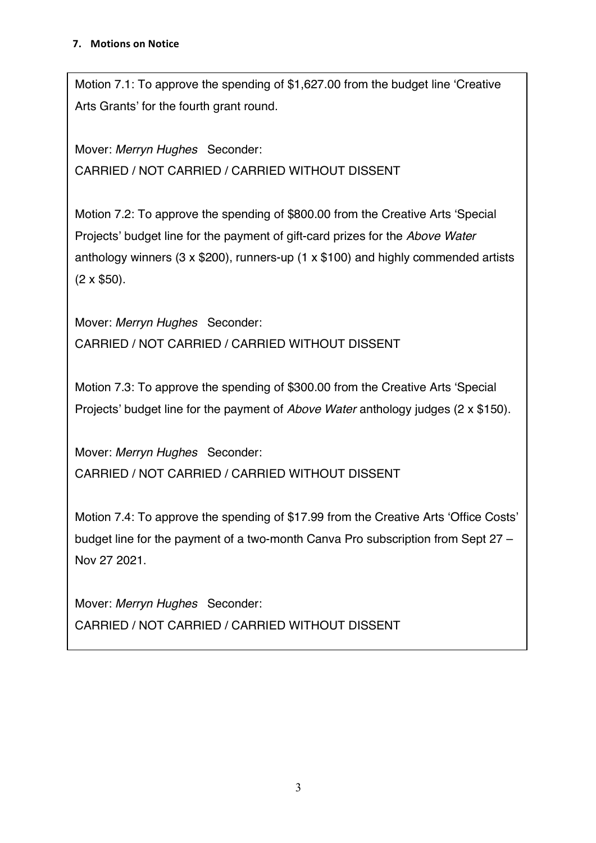Motion 7.1: To approve the spending of \$1,627.00 from the budget line 'Creative Arts Grants' for the fourth grant round.

Mover: *Merryn Hughes* Seconder: CARRIED / NOT CARRIED / CARRIED WITHOUT DISSENT

Motion 7.2: To approve the spending of \$800.00 from the Creative Arts 'Special Projects' budget line for the payment of gift-card prizes for the *Above Water*  anthology winners (3 x \$200), runners-up (1 x \$100) and highly commended artists (2 x \$50).

Mover: *Merryn Hughes* Seconder: CARRIED / NOT CARRIED / CARRIED WITHOUT DISSENT

Motion 7.3: To approve the spending of \$300.00 from the Creative Arts 'Special Projects' budget line for the payment of *Above Water* anthology judges (2 x \$150).

Mover: *Merryn Hughes* Seconder: CARRIED / NOT CARRIED / CARRIED WITHOUT DISSENT

Motion 7.4: To approve the spending of \$17.99 from the Creative Arts 'Office Costs' budget line for the payment of a two-month Canva Pro subscription from Sept 27 – Nov 27 2021.

Mover: *Merryn Hughes* Seconder: CARRIED / NOT CARRIED / CARRIED WITHOUT DISSENT